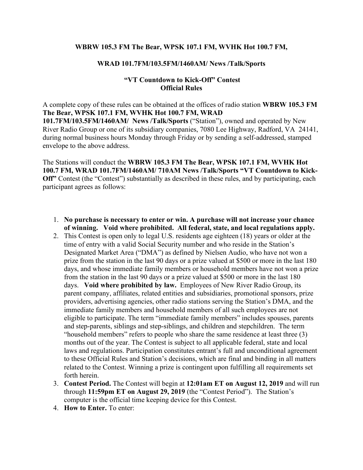## **WBRW 105.3 FM The Bear, WPSK 107.1 FM, WVHK Hot 100.7 FM,**

## **WRAD 101.7FM/103.5FM/1460AM/ News /Talk/Sports**

## **"VT Countdown to Kick-Off" Contest Official Rules**

A complete copy of these rules can be obtained at the offices of radio station **WBRW 105.3 FM The Bear, WPSK 107.1 FM, WVHK Hot 100.7 FM, WRAD 101.7FM/103.5FM/1460AM/ News /Talk/Sports** ("Station"), owned and operated by New River Radio Group or one of its subsidiary companies, 7080 Lee Highway, Radford, VA 24141, during normal business hours Monday through Friday or by sending a self-addressed, stamped envelope to the above address.

The Stations will conduct the **WBRW 105.3 FM The Bear, WPSK 107.1 FM, WVHK Hot 100.7 FM, WRAD 101.7FM/1460AM/ 710AM News /Talk/Sports "VT Countdown to Kick-Off**" Contest (the "Contest") substantially as described in these rules, and by participating, each participant agrees as follows:

- 1. **No purchase is necessary to enter or win. A purchase will not increase your chance of winning. Void where prohibited. All federal, state, and local regulations apply.**
- 2. This Contest is open only to legal U.S. residents age eighteen (18) years or older at the time of entry with a valid Social Security number and who reside in the Station's Designated Market Area ("DMA") as defined by Nielsen Audio, who have not won a prize from the station in the last 90 days or a prize valued at \$500 or more in the last 180 days, and whose immediate family members or household members have not won a prize from the station in the last 90 days or a prize valued at \$500 or more in the last 180 days. **Void where prohibited by law.** Employees of New River Radio Group, its parent company, affiliates, related entities and subsidiaries, promotional sponsors, prize providers, advertising agencies, other radio stations serving the Station's DMA, and the immediate family members and household members of all such employees are not eligible to participate. The term "immediate family members" includes spouses, parents and step-parents, siblings and step-siblings, and children and stepchildren. The term "household members" refers to people who share the same residence at least three (3) months out of the year. The Contest is subject to all applicable federal, state and local laws and regulations. Participation constitutes entrant's full and unconditional agreement to these Official Rules and Station's decisions, which are final and binding in all matters related to the Contest. Winning a prize is contingent upon fulfilling all requirements set forth herein.
- 3. **Contest Period.** The Contest will begin at **12:01am ET on August 12, 2019** and will run through **11:59pm ET on August 29, 2019** (the "Contest Period"). The Station's computer is the official time keeping device for this Contest.
- 4. **How to Enter.** To enter: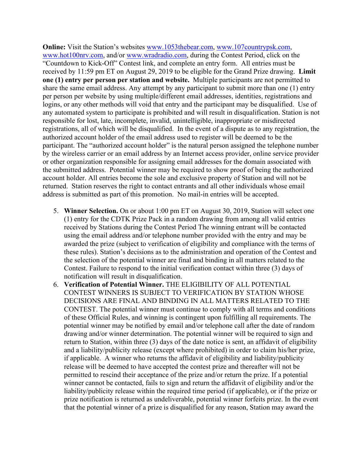**Online:** Visit the Station's websites [www.1053thebear.com,](http://www.1053thebear.com/) [www.107countrypsk.com,](http://www.107countrypsk.com/) [www.hot100nrv.com,](http://www.hot100nrv.com/) and/or [www.wradradio.com,](http://www.wradradio.com/) during the Contest Period, click on the "Countdown to Kick-Off" Contest link, and complete an entry form. All entries must be received by 11:59 pm ET on August 29, 2019 to be eligible for the Grand Prize drawing. **Limit one (1) entry per person per station and website.** Multiple participants are not permitted to share the same email address. Any attempt by any participant to submit more than one (1) entry per person per website by using multiple/different email addresses, identities, registrations and logins, or any other methods will void that entry and the participant may be disqualified. Use of any automated system to participate is prohibited and will result in disqualification. Station is not responsible for lost, late, incomplete, invalid, unintelligible, inappropriate or misdirected registrations, all of which will be disqualified. In the event of a dispute as to any registration, the authorized account holder of the email address used to register will be deemed to be the participant. The "authorized account holder" is the natural person assigned the telephone number by the wireless carrier or an email address by an Internet access provider, online service provider or other organization responsible for assigning email addresses for the domain associated with the submitted address. Potential winner may be required to show proof of being the authorized account holder. All entries become the sole and exclusive property of Station and will not be returned. Station reserves the right to contact entrants and all other individuals whose email address is submitted as part of this promotion. No mail-in entries will be accepted.

- 5. **Winner Selection.** On or about 1:00 pm ET on August 30, 2019, Station will select one (1) entry for the CDTK Prize Pack in a random drawing from among all valid entries received by Stations during the Contest Period The winning entrant will be contacted using the email address and/or telephone number provided with the entry and may be awarded the prize (subject to verification of eligibility and compliance with the terms of these rules). Station's decisions as to the administration and operation of the Contest and the selection of the potential winner are final and binding in all matters related to the Contest. Failure to respond to the initial verification contact within three (3) days of notification will result in disqualification.
- 6. **Verification of Potential Winner.** THE ELIGIBILITY OF ALL POTENTIAL CONTEST WINNERS IS SUBJECT TO VERIFICATION BY STATION WHOSE DECISIONS ARE FINAL AND BINDING IN ALL MATTERS RELATED TO THE CONTEST. The potential winner must continue to comply with all terms and conditions of these Official Rules, and winning is contingent upon fulfilling all requirements. The potential winner may be notified by email and/or telephone call after the date of random drawing and/or winner determination. The potential winner will be required to sign and return to Station, within three (3) days of the date notice is sent, an affidavit of eligibility and a liability/publicity release (except where prohibited) in order to claim his/her prize, if applicable. A winner who returns the affidavit of eligibility and liability/publicity release will be deemed to have accepted the contest prize and thereafter will not be permitted to rescind their acceptance of the prize and/or return the prize. If a potential winner cannot be contacted, fails to sign and return the affidavit of eligibility and/or the liability/publicity release within the required time period (if applicable), or if the prize or prize notification is returned as undeliverable, potential winner forfeits prize. In the event that the potential winner of a prize is disqualified for any reason, Station may award the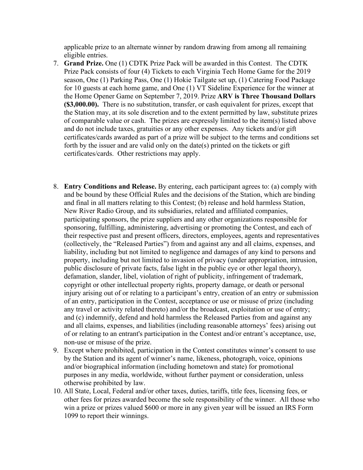applicable prize to an alternate winner by random drawing from among all remaining eligible entries.

- 7. **Grand Prize.** One (1) CDTK Prize Pack will be awarded in this Contest. The CDTK Prize Pack consists of four (4) Tickets to each Virginia Tech Home Game for the 2019 season, One (1) Parking Pass, One (1) Hokie Tailgate set up, (1) Catering Food Package for 10 guests at each home game, and One (1) VT Sideline Experience for the winner at the Home Opener Game on September 7, 2019. Prize **ARV is Three Thousand Dollars (\$3,000.00).** There is no substitution, transfer, or cash equivalent for prizes, except that the Station may, at its sole discretion and to the extent permitted by law, substitute prizes of comparable value or cash. The prizes are expressly limited to the item(s) listed above and do not include taxes, gratuities or any other expenses. Any tickets and/or gift certificates/cards awarded as part of a prize will be subject to the terms and conditions set forth by the issuer and are valid only on the date(s) printed on the tickets or gift certificates/cards. Other restrictions may apply.
- 8. **Entry Conditions and Release.** By entering, each participant agrees to: (a) comply with and be bound by these Official Rules and the decisions of the Station, which are binding and final in all matters relating to this Contest; (b) release and hold harmless Station, New River Radio Group, and its subsidiaries, related and affiliated companies, participating sponsors, the prize suppliers and any other organizations responsible for sponsoring, fulfilling, administering, advertising or promoting the Contest, and each of their respective past and present officers, directors, employees, agents and representatives (collectively, the "Released Parties") from and against any and all claims, expenses, and liability, including but not limited to negligence and damages of any kind to persons and property, including but not limited to invasion of privacy (under appropriation, intrusion, public disclosure of private facts, false light in the public eye or other legal theory), defamation, slander, libel, violation of right of publicity, infringement of trademark, copyright or other intellectual property rights, property damage, or death or personal injury arising out of or relating to a participant's entry, creation of an entry or submission of an entry, participation in the Contest, acceptance or use or misuse of prize (including any travel or activity related thereto) and/or the broadcast, exploitation or use of entry; and (c) indemnify, defend and hold harmless the Released Parties from and against any and all claims, expenses, and liabilities (including reasonable attorneys' fees) arising out of or relating to an entrant's participation in the Contest and/or entrant's acceptance, use, non-use or misuse of the prize.
- 9. Except where prohibited, participation in the Contest constitutes winner's consent to use by the Station and its agent of winner's name, likeness, photograph, voice, opinions and/or biographical information (including hometown and state) for promotional purposes in any media, worldwide, without further payment or consideration, unless otherwise prohibited by law.
- 10. All State, Local, Federal and/or other taxes, duties, tariffs, title fees, licensing fees, or other fees for prizes awarded become the sole responsibility of the winner. All those who win a prize or prizes valued \$600 or more in any given year will be issued an IRS Form 1099 to report their winnings.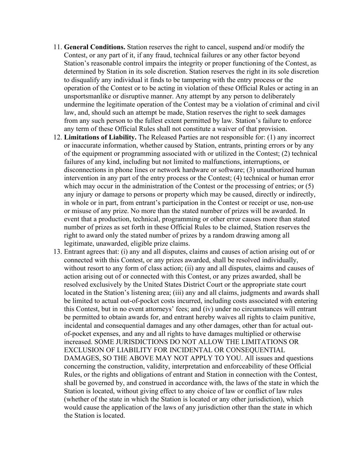- 11. **General Conditions.** Station reserves the right to cancel, suspend and/or modify the Contest, or any part of it, if any fraud, technical failures or any other factor beyond Station's reasonable control impairs the integrity or proper functioning of the Contest, as determined by Station in its sole discretion. Station reserves the right in its sole discretion to disqualify any individual it finds to be tampering with the entry process or the operation of the Contest or to be acting in violation of these Official Rules or acting in an unsportsmanlike or disruptive manner. Any attempt by any person to deliberately undermine the legitimate operation of the Contest may be a violation of criminal and civil law, and, should such an attempt be made, Station reserves the right to seek damages from any such person to the fullest extent permitted by law. Station's failure to enforce any term of these Official Rules shall not constitute a waiver of that provision.
- 12. **Limitations of Liability.** The Released Parties are not responsible for: (1) any incorrect or inaccurate information, whether caused by Station, entrants, printing errors or by any of the equipment or programming associated with or utilized in the Contest; (2) technical failures of any kind, including but not limited to malfunctions, interruptions, or disconnections in phone lines or network hardware or software; (3) unauthorized human intervention in any part of the entry process or the Contest; (4) technical or human error which may occur in the administration of the Contest or the processing of entries; or (5) any injury or damage to persons or property which may be caused, directly or indirectly, in whole or in part, from entrant's participation in the Contest or receipt or use, non-use or misuse of any prize. No more than the stated number of prizes will be awarded. In event that a production, technical, programming or other error causes more than stated number of prizes as set forth in these Official Rules to be claimed, Station reserves the right to award only the stated number of prizes by a random drawing among all legitimate, unawarded, eligible prize claims.
- 13. Entrant agrees that: (i) any and all disputes, claims and causes of action arising out of or connected with this Contest, or any prizes awarded, shall be resolved individually, without resort to any form of class action; (ii) any and all disputes, claims and causes of action arising out of or connected with this Contest, or any prizes awarded, shall be resolved exclusively by the United States District Court or the appropriate state court located in the Station's listening area; (iii) any and all claims, judgments and awards shall be limited to actual out-of-pocket costs incurred, including costs associated with entering this Contest, but in no event attorneys' fees; and (iv) under no circumstances will entrant be permitted to obtain awards for, and entrant hereby waives all rights to claim punitive, incidental and consequential damages and any other damages, other than for actual outof-pocket expenses, and any and all rights to have damages multiplied or otherwise increased. SOME JURISDICTIONS DO NOT ALLOW THE LIMITATIONS OR EXCLUSION OF LIABILITY FOR INCIDENTAL OR CONSEQUENTIAL DAMAGES, SO THE ABOVE MAY NOT APPLY TO YOU. All issues and questions concerning the construction, validity, interpretation and enforceability of these Official Rules, or the rights and obligations of entrant and Station in connection with the Contest, shall be governed by, and construed in accordance with, the laws of the state in which the Station is located, without giving effect to any choice of law or conflict of law rules (whether of the state in which the Station is located or any other jurisdiction), which would cause the application of the laws of any jurisdiction other than the state in which the Station is located.